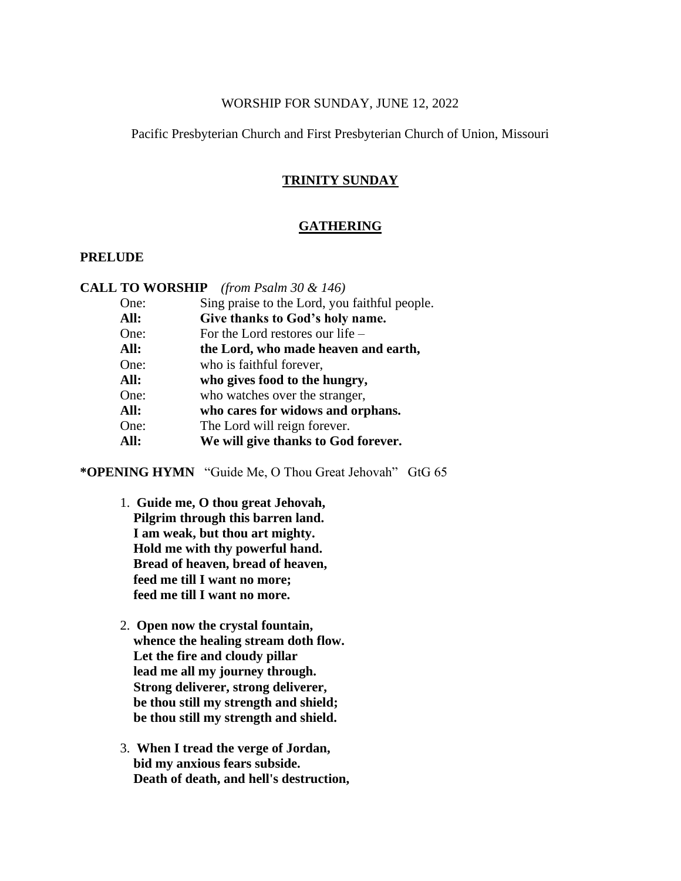# WORSHIP FOR SUNDAY, JUNE 12, 2022

# Pacific Presbyterian Church and First Presbyterian Church of Union, Missouri

# **TRINITY SUNDAY**

# **GATHERING**

# **PRELUDE**

**CALL TO WORSHIP** *(from Psalm 30 & 146)*

- One: Sing praise to the Lord, you faithful people.
- **All: Give thanks to God's holy name.**
- One: For the Lord restores our life –
- **All: the Lord, who made heaven and earth,**
- One: who is faithful forever,
- **All: who gives food to the hungry,**
- One: who watches over the stranger,
- **All: who cares for widows and orphans.**
- One: The Lord will reign forever.
- **All: We will give thanks to God forever.**

**\*OPENING HYMN** "Guide Me, O Thou Great Jehovah" GtG 65

- 1. **Guide me, O thou great Jehovah, Pilgrim through this barren land. I am weak, but thou art mighty. Hold me with thy powerful hand. Bread of heaven, bread of heaven, feed me till I want no more; feed me till I want no more.**
- 2. **Open now the crystal fountain, whence the healing stream doth flow. Let the fire and cloudy pillar lead me all my journey through. Strong deliverer, strong deliverer, be thou still my strength and shield; be thou still my strength and shield.**
- 3. **When I tread the verge of Jordan, bid my anxious fears subside. Death of death, and hell's destruction,**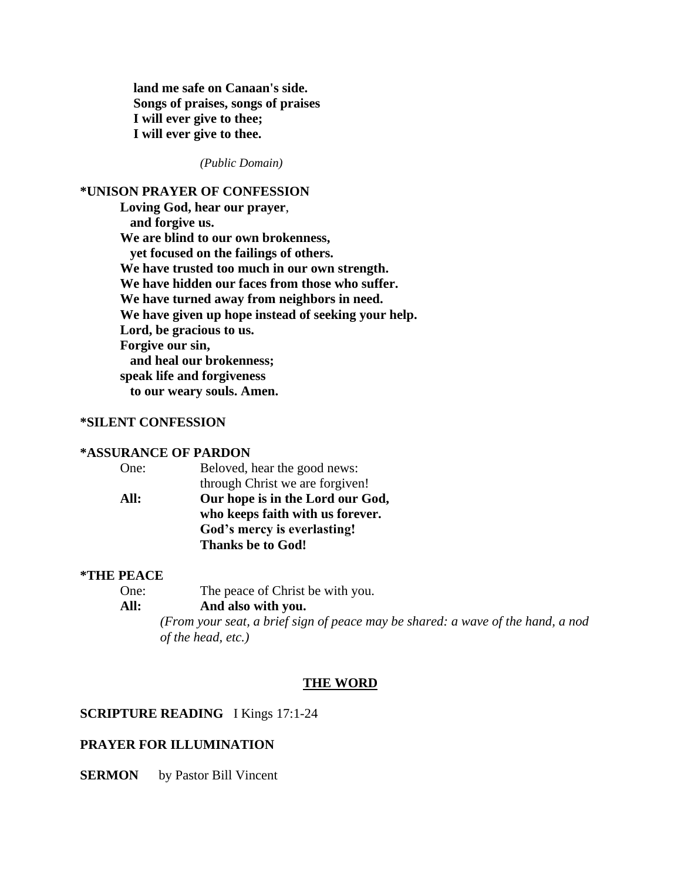**land me safe on Canaan's side. Songs of praises, songs of praises I will ever give to thee; I will ever give to thee.**

*(Public Domain)*

## **\*UNISON PRAYER OF CONFESSION**

**Loving God, hear our prayer**, **and forgive us. We are blind to our own brokenness, yet focused on the failings of others. We have trusted too much in our own strength. We have hidden our faces from those who suffer. We have turned away from neighbors in need. We have given up hope instead of seeking your help. Lord, be gracious to us. Forgive our sin, and heal our brokenness; speak life and forgiveness to our weary souls. Amen.**

# **\*SILENT CONFESSION**

## **\*ASSURANCE OF PARDON**

| One: | Beloved, hear the good news:     |  |
|------|----------------------------------|--|
|      | through Christ we are forgiven!  |  |
| All: | Our hope is in the Lord our God, |  |
|      | who keeps faith with us forever. |  |
|      | God's mercy is everlasting!      |  |
|      | <b>Thanks be to God!</b>         |  |
|      |                                  |  |

# **\*THE PEACE**

| One: | The peace of Christ be with you. |
|------|----------------------------------|
|      |                                  |

# **All: And also with you.**

*(From your seat, a brief sign of peace may be shared: a wave of the hand, a nod of the head, etc.)*

#### **THE WORD**

# **SCRIPTURE READING** I Kings 17:1-24

#### **PRAYER FOR ILLUMINATION**

**SERMON** by Pastor Bill Vincent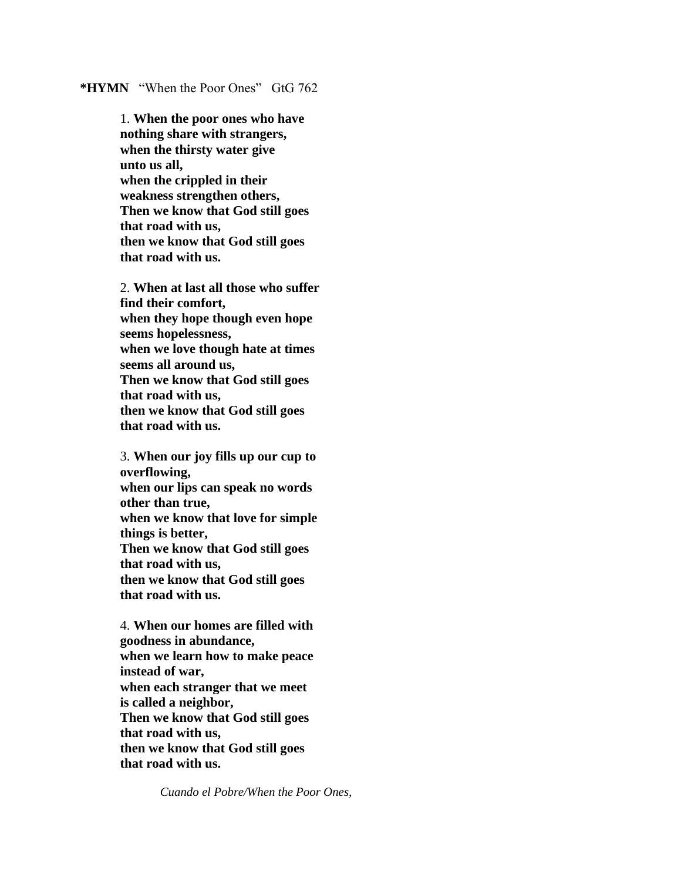# **\*HYMN** "When the Poor Ones" GtG 762

1. **When the poor ones who have nothing share with strangers, when the thirsty water give unto us all, when the crippled in their weakness strengthen others, Then we know that God still goes that road with us, then we know that God still goes that road with us.**

2. **When at last all those who suffer find their comfort, when they hope though even hope seems hopelessness, when we love though hate at times seems all around us, Then we know that God still goes that road with us, then we know that God still goes that road with us.**

3. **When our joy fills up our cup to overflowing, when our lips can speak no words other than true, when we know that love for simple things is better, Then we know that God still goes that road with us, then we know that God still goes that road with us.**

4. **When our homes are filled with goodness in abundance, when we learn how to make peace instead of war, when each stranger that we meet is called a neighbor, Then we know that God still goes that road with us, then we know that God still goes that road with us.**

*Cuando el Pobre/When the Poor Ones,*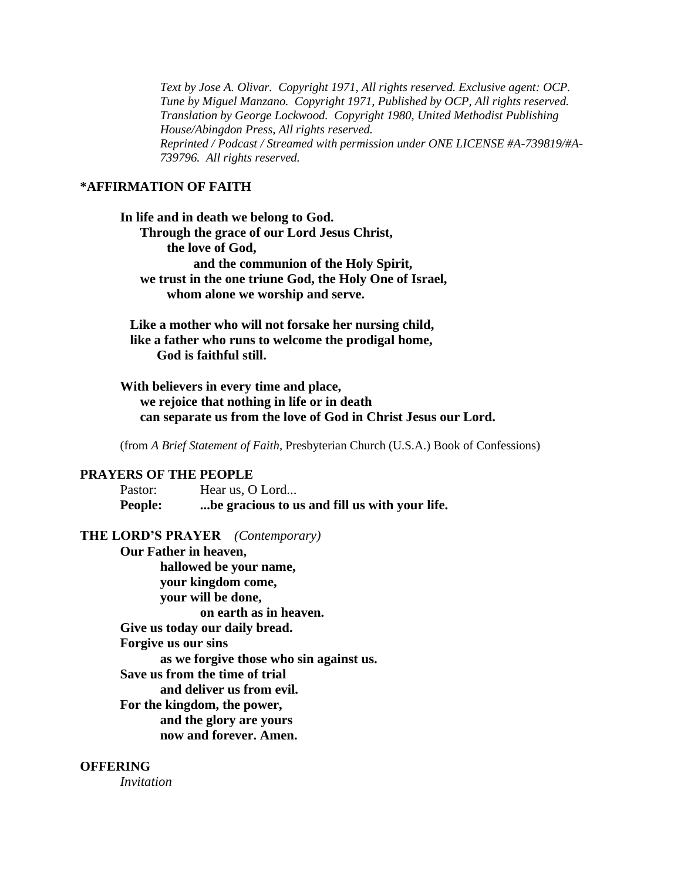*Text by Jose A. Olivar. Copyright 1971, All rights reserved. Exclusive agent: OCP. Tune by Miguel Manzano. Copyright 1971, Published by OCP, All rights reserved. Translation by George Lockwood. Copyright 1980, United Methodist Publishing House/Abingdon Press, All rights reserved. Reprinted / Podcast / Streamed with permission under ONE LICENSE #A-739819/#A-739796. All rights reserved.*

# **\*AFFIRMATION OF FAITH**

**In life and in death we belong to God. Through the grace of our Lord Jesus Christ, the love of God, and the communion of the Holy Spirit, we trust in the one triune God, the Holy One of Israel, whom alone we worship and serve.**

 **Like a mother who will not forsake her nursing child, like a father who runs to welcome the prodigal home, God is faithful still.**

**With believers in every time and place, we rejoice that nothing in life or in death can separate us from the love of God in Christ Jesus our Lord.**

(from *A Brief Statement of Faith*, Presbyterian Church (U.S.A.) Book of Confessions)

#### **PRAYERS OF THE PEOPLE**

Pastor: Hear us, O Lord... **People: ...be gracious to us and fill us with your life.**

#### **THE LORD'S PRAYER** *(Contemporary)*

**Our Father in heaven, hallowed be your name, your kingdom come, your will be done, on earth as in heaven. Give us today our daily bread. Forgive us our sins as we forgive those who sin against us. Save us from the time of trial and deliver us from evil. For the kingdom, the power, and the glory are yours now and forever. Amen.**

## **OFFERING**

*Invitation*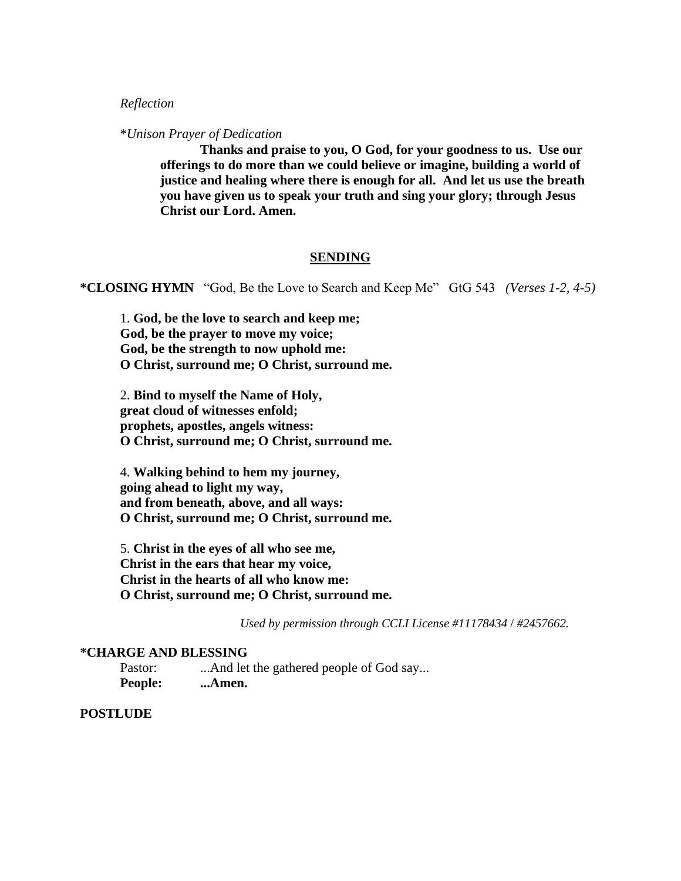# *Reflection*

\**Unison Prayer of Dedication*

**Thanks and praise to you, O God, for your goodness to us. Use our offerings to do more than we could believe or imagine, building a world of justice and healing where there is enough for all. And let us use the breath you have given us to speak your truth and sing your glory; through Jesus Christ our Lord. Amen.**

# **SENDING**

**\*CLOSING HYMN** "God, Be the Love to Search and Keep Me" GtG 543 *(Verses 1-2, 4-5)*

1. **God, be the love to search and keep me; God, be the prayer to move my voice; God, be the strength to now uphold me: O Christ, surround me; O Christ, surround me.**

2. **Bind to myself the Name of Holy, great cloud of witnesses enfold; prophets, apostles, angels witness: O Christ, surround me; O Christ, surround me.**

4. **Walking behind to hem my journey, going ahead to light my way, and from beneath, above, and all ways: O Christ, surround me; O Christ, surround me.**

5. **Christ in the eyes of all who see me, Christ in the ears that hear my voice, Christ in the hearts of all who know me: O Christ, surround me; O Christ, surround me.**

*Used by permission through CCLI License #11178434* / *#2457662.*

#### **\*CHARGE AND BLESSING**

Pastor: ...And let the gathered people of God say... **People: ...Amen.**

#### **POSTLUDE**